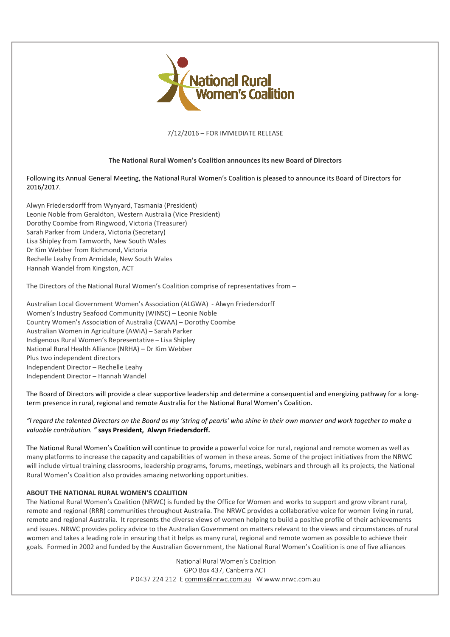

7/12/2016 – FOR IMMEDIATE RELEASE

## **The National Rural Women's Coalition announces its new Board of Directors**

Following its Annual General Meeting, the National Rural Women's Coalition is pleased to announce its Board of Directors for 2016/2017.

Alwyn Friedersdorff from Wynyard, Tasmania (President) Leonie Noble from Geraldton, Western Australia (Vice President) Dorothy Coombe from Ringwood, Victoria (Treasurer) Sarah Parker from Undera, Victoria (Secretary) Lisa Shipley from Tamworth, New South Wales Dr Kim Webber from Richmond, Victoria Rechelle Leahy from Armidale, New South Wales Hannah Wandel from Kingston, ACT

The Directors of the National Rural Women's Coalition comprise of representatives from –

Australian Local Government Women's Association (ALGWA) - Alwyn Friedersdorff Women's Industry Seafood Community (WINSC) – Leonie Noble Country Women's Association of Australia (CWAA) – Dorothy Coombe Australian Women in Agriculture (AWiA) – Sarah Parker Indigenous Rural Women's Representative – Lisa Shipley National Rural Health Alliance (NRHA) – Dr Kim Webber Plus two independent directors Independent Director – Rechelle Leahy Independent Director – Hannah Wandel

The Board of Directors will provide a clear supportive leadership and determine a consequential and energizing pathway for a longterm presence in rural, regional and remote Australia for the National Rural Women's Coalition.

*"I regard the talented Directors on the Board as my 'string of pearls' who shine in their own manner and work together to make a valuable contribution. "* **says President, Alwyn Friedersdorff.**

The National Rural Women's Coalition will continue to provide a powerful voice for rural, regional and remote women as well as many platforms to increase the capacity and capabilities of women in these areas. Some of the project initiatives from the NRWC will include virtual training classrooms, leadership programs, forums, meetings, webinars and through all its projects, the National Rural Women's Coalition also provides amazing networking opportunities.

## **ABOUT THE NATIONAL RURAL WOMEN'S COALITION**

The National Rural Women's Coalition (NRWC) is funded by the Office for Women and works to support and grow vibrant rural, remote and regional (RRR) communities throughout Australia. The NRWC provides a collaborative voice for women living in rural, remote and regional Australia. It represents the diverse views of women helping to build a positive profile of their achievements and issues. NRWC provides policy advice to the Australian Government on matters relevant to the views and circumstances of rural women and takes a leading role in ensuring that it helps as many rural, regional and remote women as possible to achieve their goals. Formed in 2002 and funded by the Australian Government, the National Rural Women's Coalition is one of five alliances

> National Rural Women's Coalition GPO Box 437, Canberra ACT P 0437 224 212 E comms@nrwc.com.au W www.nrwc.com.au